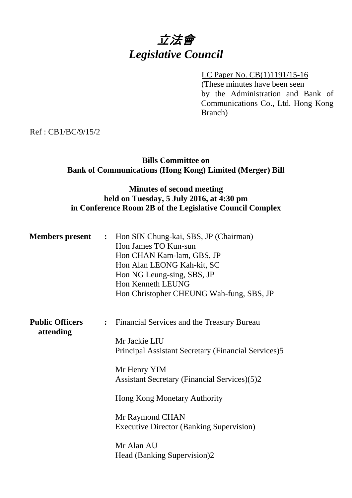# 立法會 *Legislative Council*

# LC Paper No. CB(1)1191/15-16

(These minutes have been seen by the Administration and Bank of Communications Co., Ltd. Hong Kong Branch)

Ref : CB1/BC/9/15/2

# **Bills Committee on Bank of Communications (Hong Kong) Limited (Merger) Bill**

# **Minutes of second meeting held on Tuesday, 5 July 2016, at 4:30 pm in Conference Room 2B of the Legislative Council Complex**

| <b>Members present</b>              |                | : Hon SIN Chung-kai, SBS, JP (Chairman)<br>Hon James TO Kun-sun<br>Hon CHAN Kam-lam, GBS, JP<br>Hon Alan LEONG Kah-kit, SC<br>Hon NG Leung-sing, SBS, JP<br>Hon Kenneth LEUNG<br>Hon Christopher CHEUNG Wah-fung, SBS, JP |
|-------------------------------------|----------------|---------------------------------------------------------------------------------------------------------------------------------------------------------------------------------------------------------------------------|
| <b>Public Officers</b><br>attending | $\ddot{\cdot}$ | <b>Financial Services and the Treasury Bureau</b><br>Mr Jackie LIU                                                                                                                                                        |
|                                     |                | Principal Assistant Secretary (Financial Services)5<br>Mr Henry YIM<br><b>Assistant Secretary (Financial Services)(5)2</b>                                                                                                |
|                                     |                | <b>Hong Kong Monetary Authority</b>                                                                                                                                                                                       |
|                                     |                | Mr Raymond CHAN<br><b>Executive Director (Banking Supervision)</b>                                                                                                                                                        |
|                                     |                | Mr Alan AU<br>Head (Banking Supervision)2                                                                                                                                                                                 |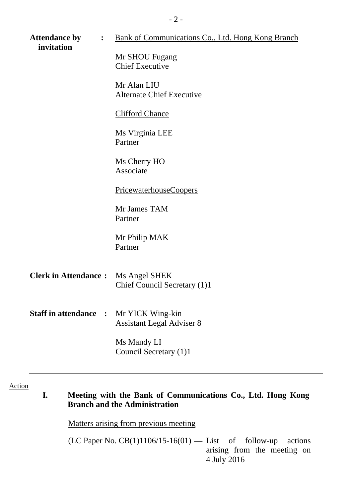| <b>Attendance by</b><br>$\ddot{\cdot}$<br>invitation | <u>Bank of Communications Co., Ltd. Hong Kong Branch</u><br>Mr SHOU Fugang<br><b>Chief Executive</b><br>Mr Alan LIU<br><b>Alternate Chief Executive</b> |
|------------------------------------------------------|---------------------------------------------------------------------------------------------------------------------------------------------------------|
|                                                      | <b>Clifford Chance</b><br>Ms Virginia LEE<br>Partner                                                                                                    |
|                                                      | Ms Cherry HO<br>Associate                                                                                                                               |
|                                                      | <u>PricewaterhouseCoopers</u>                                                                                                                           |
|                                                      | Mr James TAM<br>Partner                                                                                                                                 |
|                                                      | Mr Philip MAK<br>Partner                                                                                                                                |
| <b>Clerk in Attendance:</b>                          | Ms Angel SHEK<br>Chief Council Secretary (1)1                                                                                                           |
| <b>Staff in attendance :</b>                         | Mr YICK Wing-kin<br><b>Assistant Legal Adviser 8</b>                                                                                                    |
|                                                      | Ms Mandy LI<br>Council Secretary (1)1                                                                                                                   |

# Action

# **I. Meeting with the Bank of Communications Co., Ltd. Hong Kong Branch and the Administration**

Matters arising from previous meeting

(LC Paper No. CB(1)1106/15-16(01) **—** List of follow-up actions arising from the meeting on 4 July 2016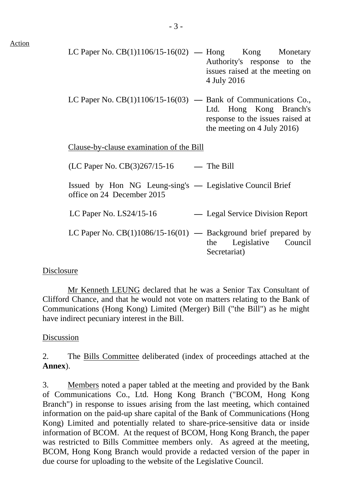| .ction |  |
|--------|--|
|        |  |

- LC Paper No.  $CB(1)1106/15-16(02)$  Hong Kong Monetary Authority's response to the issues raised at the meeting on 4 July 2016
- LC Paper No. CB(1)1106/15-16(03) **—** Bank of Communications Co., Ltd. Hong Kong Branch's response to the issues raised at the meeting on 4 July 2016)

Clause-by-clause examination of the Bill

| (LC Paper No. CB(3)267/15-16                                                            | $-$ The Bill                               |
|-----------------------------------------------------------------------------------------|--------------------------------------------|
| Issued by Hon NG Leung-sing's — Legislative Council Brief<br>office on 24 December 2015 |                                            |
| LC Paper No. $LS24/15-16$                                                               | — Legal Service Division Report            |
| LC Paper No. $CB(1)1086/15-16(01)$ — Background brief prepared by                       | Legislative Council<br>the<br>Secretariat) |

## Disclosure

 Mr Kenneth LEUNG declared that he was a Senior Tax Consultant of Clifford Chance, and that he would not vote on matters relating to the Bank of Communications (Hong Kong) Limited (Merger) Bill ("the Bill") as he might have indirect pecuniary interest in the Bill.

## Discussion

2. The Bills Committee deliberated (index of proceedings attached at the **Annex**).

3. Members noted a paper tabled at the meeting and provided by the Bank of Communications Co., Ltd. Hong Kong Branch ("BCOM, Hong Kong Branch") in response to issues arising from the last meeting, which contained information on the paid-up share capital of the Bank of Communications (Hong Kong) Limited and potentially related to share-price-sensitive data or inside information of BCOM. At the request of BCOM, Hong Kong Branch, the paper was restricted to Bills Committee members only. As agreed at the meeting, BCOM, Hong Kong Branch would provide a redacted version of the paper in due course for uploading to the website of the Legislative Council.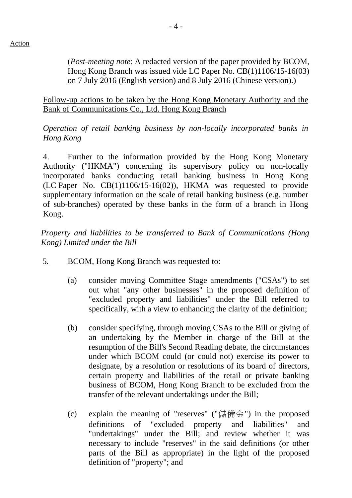(*Post-meeting note*: A redacted version of the paper provided by BCOM, Hong Kong Branch was issued vide LC Paper No. CB(1)1106/15-16(03) on 7 July 2016 (English version) and 8 July 2016 (Chinese version).)

Follow-up actions to be taken by the Hong Kong Monetary Authority and the Bank of Communications Co., Ltd. Hong Kong Branch

*Operation of retail banking business by non-locally incorporated banks in Hong Kong* 

4. Further to the information provided by the Hong Kong Monetary Authority ("HKMA") concerning its supervisory policy on non-locally incorporated banks conducting retail banking business in Hong Kong (LC Paper No. CB(1)1106/15-16(02)), HKMA was requested to provide supplementary information on the scale of retail banking business (e.g. number of sub-branches) operated by these banks in the form of a branch in Hong Kong.

*Property and liabilities to be transferred to Bank of Communications (Hong Kong) Limited under the Bill* 

- 5. BCOM, Hong Kong Branch was requested to:
	- (a) consider moving Committee Stage amendments ("CSAs") to set out what "any other businesses" in the proposed definition of "excluded property and liabilities" under the Bill referred to specifically, with a view to enhancing the clarity of the definition;
	- (b) consider specifying, through moving CSAs to the Bill or giving of an undertaking by the Member in charge of the Bill at the resumption of the Bill's Second Reading debate, the circumstances under which BCOM could (or could not) exercise its power to designate, by a resolution or resolutions of its board of directors, certain property and liabilities of the retail or private banking business of BCOM, Hong Kong Branch to be excluded from the transfer of the relevant undertakings under the Bill;
	- (c) explain the meaning of "reserves" ("儲備金") in the proposed definitions of "excluded property and liabilities" and "undertakings" under the Bill; and review whether it was necessary to include "reserves" in the said definitions (or other parts of the Bill as appropriate) in the light of the proposed definition of "property"; and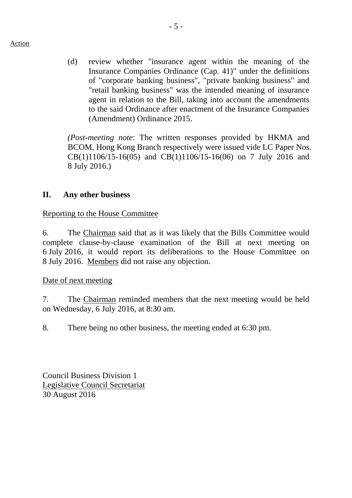#### Action

(d) review whether "insurance agent within the meaning of the Insurance Companies Ordinance (Cap. 41)" under the definitions of "corporate banking business", "private banking business" and "retail banking business" was the intended meaning of insurance agent in relation to the Bill, taking into account the amendments to the said Ordinance after enactment of the Insurance Companies (Amendment) Ordinance 2015.

*(Post-meeting note*: The written responses provided by HKMA and BCOM, Hong Kong Branch respectively were issued vide LC Paper Nos. CB(1)1106/15-16(05) and CB(1)1106/15-16(06) on 7 July 2016 and 8 July 2016.)

# **II. Any other business**

## Reporting to the House Committee

6. The Chairman said that as it was likely that the Bills Committee would complete clause-by-clause examination of the Bill at next meeting on 6 July 2016, it would report its deliberations to the House Committee on 8 July 2016. Members did not raise any objection.

## Date of next meeting

7. The Chairman reminded members that the next meeting would be held on Wednesday, 6 July 2016, at 8:30 am.

8. There being no other business, the meeting ended at 6:30 pm.

Council Business Division 1 Legislative Council Secretariat 30 August 2016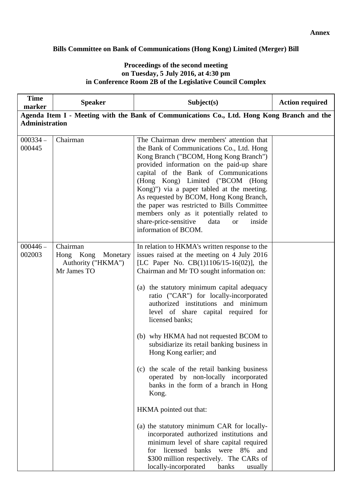#### **Bills Committee on Bank of Communications (Hong Kong) Limited (Merger) Bill**

#### **Proceedings of the second meeting on Tuesday, 5 July 2016, at 4:30 pm in Conference Room 2B of the Legislative Council Complex**

| <b>Time</b><br>marker | <b>Speaker</b>                                                         | Subject(s)                                                                                                                                                                                                                                                                                                                                                                                                                                                                                                                                                                                                                                                                                                                                                                                                                                                                                                                                  | <b>Action required</b> |  |
|-----------------------|------------------------------------------------------------------------|---------------------------------------------------------------------------------------------------------------------------------------------------------------------------------------------------------------------------------------------------------------------------------------------------------------------------------------------------------------------------------------------------------------------------------------------------------------------------------------------------------------------------------------------------------------------------------------------------------------------------------------------------------------------------------------------------------------------------------------------------------------------------------------------------------------------------------------------------------------------------------------------------------------------------------------------|------------------------|--|
|                       |                                                                        | Agenda Item I - Meeting with the Bank of Communications Co., Ltd. Hong Kong Branch and the                                                                                                                                                                                                                                                                                                                                                                                                                                                                                                                                                                                                                                                                                                                                                                                                                                                  |                        |  |
| <b>Administration</b> |                                                                        |                                                                                                                                                                                                                                                                                                                                                                                                                                                                                                                                                                                                                                                                                                                                                                                                                                                                                                                                             |                        |  |
|                       |                                                                        |                                                                                                                                                                                                                                                                                                                                                                                                                                                                                                                                                                                                                                                                                                                                                                                                                                                                                                                                             |                        |  |
| $000334 -$<br>000445  | Chairman                                                               | The Chairman drew members' attention that<br>the Bank of Communications Co., Ltd. Hong<br>Kong Branch ("BCOM, Hong Kong Branch")<br>provided information on the paid-up share<br>capital of the Bank of Communications<br>(Hong Kong) Limited ("BCOM (Hong<br>Kong)") via a paper tabled at the meeting.<br>As requested by BCOM, Hong Kong Branch,<br>the paper was restricted to Bills Committee<br>members only as it potentially related to<br>share-price-sensitive<br>data<br>inside<br><b>or</b><br>information of BCOM.                                                                                                                                                                                                                                                                                                                                                                                                             |                        |  |
| $000446 -$<br>002003  | Chairman<br>Hong Kong<br>Monetary<br>Authority ("HKMA")<br>Mr James TO | In relation to HKMA's written response to the<br>issues raised at the meeting on 4 July 2016<br>[LC Paper No. $CB(1)1106/15-16(02)$ ], the<br>Chairman and Mr TO sought information on:<br>(a) the statutory minimum capital adequacy<br>ratio ("CAR") for locally-incorporated<br>authorized institutions and minimum<br>level of share capital required for<br>licensed banks;<br>(b) why HKMA had not requested BCOM to<br>subsidiarize its retail banking business in<br>Hong Kong earlier; and<br>(c) the scale of the retail banking business<br>operated by non-locally incorporated<br>banks in the form of a branch in Hong<br>Kong.<br>HKMA pointed out that:<br>(a) the statutory minimum CAR for locally-<br>incorporated authorized institutions and<br>minimum level of share capital required<br>licensed banks were 8%<br>for<br>and<br>\$300 million respectively. The CARs of<br>locally-incorporated<br>banks<br>usually |                        |  |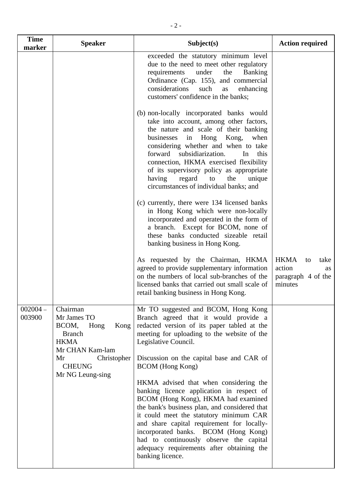| <b>Time</b><br>marker | <b>Speaker</b>                                                                                      | Subject(s)                                                                                                                                                                                                                                                                                                                                                                                                                                                                                       | <b>Action required</b>                                                     |
|-----------------------|-----------------------------------------------------------------------------------------------------|--------------------------------------------------------------------------------------------------------------------------------------------------------------------------------------------------------------------------------------------------------------------------------------------------------------------------------------------------------------------------------------------------------------------------------------------------------------------------------------------------|----------------------------------------------------------------------------|
|                       |                                                                                                     | exceeded the statutory minimum level<br>due to the need to meet other regulatory<br>requirements<br>under<br>the<br><b>Banking</b><br>Ordinance (Cap. 155), and commercial<br>considerations<br>such<br>enhancing<br>as<br>customers' confidence in the banks;                                                                                                                                                                                                                                   |                                                                            |
|                       |                                                                                                     | (b) non-locally incorporated banks would<br>take into account, among other factors,<br>the nature and scale of their banking<br>businesses<br>in Hong Kong,<br>when<br>considering whether and when to take<br>forward<br>subsidiarization.<br>this<br>In<br>connection, HKMA exercised flexibility<br>of its supervisory policy as appropriate<br>having<br>regard<br>the<br>to<br>unique<br>circumstances of individual banks; and                                                             |                                                                            |
|                       |                                                                                                     | (c) currently, there were 134 licensed banks<br>in Hong Kong which were non-locally<br>incorporated and operated in the form of<br>a branch. Except for BCOM, none of<br>these banks conducted sizeable retail<br>banking business in Hong Kong.                                                                                                                                                                                                                                                 |                                                                            |
|                       |                                                                                                     | As requested by the Chairman, HKMA<br>agreed to provide supplementary information<br>on the numbers of local sub-branches of the<br>licensed banks that carried out small scale of<br>retail banking business in Hong Kong.                                                                                                                                                                                                                                                                      | <b>HKMA</b><br>take<br>to<br>action<br>as<br>paragraph 4 of the<br>minutes |
| $002004 -$<br>003900  | Chairman<br>Mr James TO<br>BCOM,<br>Hong<br>Kong<br><b>Branch</b><br><b>HKMA</b><br>Mr CHAN Kam-lam | Mr TO suggested and BCOM, Hong Kong<br>Branch agreed that it would provide a<br>redacted version of its paper tabled at the<br>meeting for uploading to the website of the<br>Legislative Council.                                                                                                                                                                                                                                                                                               |                                                                            |
|                       | Mr<br>Christopher<br><b>CHEUNG</b><br>Mr NG Leung-sing                                              | Discussion on the capital base and CAR of<br><b>BCOM</b> (Hong Kong)<br>HKMA advised that when considering the<br>banking licence application in respect of<br>BCOM (Hong Kong), HKMA had examined<br>the bank's business plan, and considered that<br>it could meet the statutory minimum CAR<br>and share capital requirement for locally-<br>incorporated banks. BCOM (Hong Kong)<br>had to continuously observe the capital<br>adequacy requirements after obtaining the<br>banking licence. |                                                                            |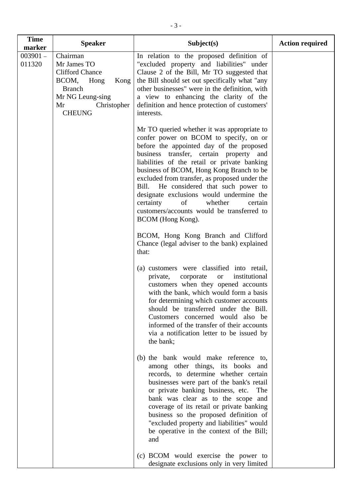| <b>Time</b><br>marker | <b>Speaker</b>                                                                                                                                     | Subject(s)                                                                                                                                                                                                                                                                                                                                                                                                                                                                                                                  | <b>Action required</b> |
|-----------------------|----------------------------------------------------------------------------------------------------------------------------------------------------|-----------------------------------------------------------------------------------------------------------------------------------------------------------------------------------------------------------------------------------------------------------------------------------------------------------------------------------------------------------------------------------------------------------------------------------------------------------------------------------------------------------------------------|------------------------|
| $003901 -$<br>011320  | Chairman<br>Mr James TO<br><b>Clifford Chance</b><br>BCOM, Hong<br>Kong<br><b>Branch</b><br>Mr NG Leung-sing<br>Mr<br>Christopher<br><b>CHEUNG</b> | In relation to the proposed definition of<br>"excluded property and liabilities" under<br>Clause 2 of the Bill, Mr TO suggested that<br>the Bill should set out specifically what "any<br>other businesses" were in the definition, with<br>a view to enhancing the clarity of the<br>definition and hence protection of customers'<br>interests.                                                                                                                                                                           |                        |
|                       |                                                                                                                                                    | Mr TO queried whether it was appropriate to<br>confer power on BCOM to specify, on or<br>before the appointed day of the proposed<br>business transfer, certain property and<br>liabilities of the retail or private banking<br>business of BCOM, Hong Kong Branch to be<br>excluded from transfer, as proposed under the<br>Bill. He considered that such power to<br>designate exclusions would undermine the<br>certainty<br>whether<br>of<br>certain<br>customers/accounts would be transferred to<br>BCOM (Hong Kong). |                        |
|                       |                                                                                                                                                    | BCOM, Hong Kong Branch and Clifford<br>Chance (legal adviser to the bank) explained<br>that:                                                                                                                                                                                                                                                                                                                                                                                                                                |                        |
|                       |                                                                                                                                                    | (a) customers were classified into retail,<br>corporate<br>institutional<br>private,<br><b>or</b><br>customers when they opened accounts<br>with the bank, which would form a basis<br>for determining which customer accounts<br>should be transferred under the Bill.<br>Customers concerned would also be<br>informed of the transfer of their accounts<br>via a notification letter to be issued by<br>the bank;                                                                                                        |                        |
|                       |                                                                                                                                                    | (b) the bank would make reference to,<br>among other things, its books and<br>records, to determine whether certain<br>businesses were part of the bank's retail<br>or private banking business, etc.<br>The<br>bank was clear as to the scope and<br>coverage of its retail or private banking<br>business so the proposed definition of<br>"excluded property and liabilities" would<br>be operative in the context of the Bill;<br>and                                                                                   |                        |
|                       |                                                                                                                                                    | (c) BCOM would exercise the power to<br>designate exclusions only in very limited                                                                                                                                                                                                                                                                                                                                                                                                                                           |                        |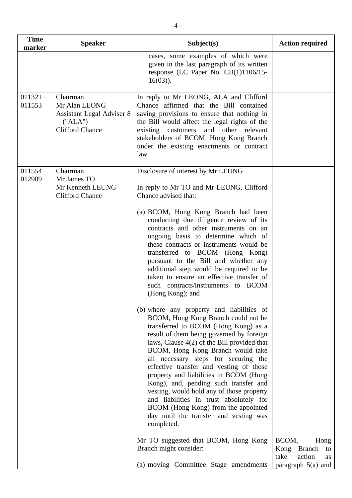| marker               |                                                                                             | Subject(s)                                                                                                                                                                                                                                                                                                                                                                                                                                                                                                                                                                                                                                                                                                                                                                                                                                                                                                                                                                                                                                                                                                                                                                                                                                                                           | <b>Action required</b>                                                             |
|----------------------|---------------------------------------------------------------------------------------------|--------------------------------------------------------------------------------------------------------------------------------------------------------------------------------------------------------------------------------------------------------------------------------------------------------------------------------------------------------------------------------------------------------------------------------------------------------------------------------------------------------------------------------------------------------------------------------------------------------------------------------------------------------------------------------------------------------------------------------------------------------------------------------------------------------------------------------------------------------------------------------------------------------------------------------------------------------------------------------------------------------------------------------------------------------------------------------------------------------------------------------------------------------------------------------------------------------------------------------------------------------------------------------------|------------------------------------------------------------------------------------|
|                      |                                                                                             | cases, some examples of which were<br>given in the last paragraph of its written<br>response (LC Paper No. CB(1)1106/15-<br>$16(03)$ ).                                                                                                                                                                                                                                                                                                                                                                                                                                                                                                                                                                                                                                                                                                                                                                                                                                                                                                                                                                                                                                                                                                                                              |                                                                                    |
| $011321 -$<br>011553 | Chairman<br>Mr Alan LEONG<br>Assistant Legal Adviser 8<br>("ALA")<br><b>Clifford Chance</b> | In reply to Mr LEONG, ALA and Clifford<br>Chance affirmed that the Bill contained<br>saving provisions to ensure that nothing in<br>the Bill would affect the legal rights of the<br>existing customers and other relevant<br>stakeholders of BCOM, Hong Kong Branch<br>under the existing enactments or contract<br>law.                                                                                                                                                                                                                                                                                                                                                                                                                                                                                                                                                                                                                                                                                                                                                                                                                                                                                                                                                            |                                                                                    |
| $011554 -$<br>012909 | Chairman<br>Mr James TO<br>Mr Kenneth LEUNG<br><b>Clifford Chance</b>                       | Disclosure of interest by Mr LEUNG<br>In reply to Mr TO and Mr LEUNG, Clifford<br>Chance advised that:<br>(a) BCOM, Hong Kong Branch had been<br>conducting due diligence review of its<br>contracts and other instruments on an<br>ongoing basis to determine which of<br>these contracts or instruments would be<br>transferred to BCOM (Hong Kong)<br>pursuant to the Bill and whether any<br>additional step would be required to be<br>taken to ensure an effective transfer of<br>such contracts/instruments to BCOM<br>(Hong Kong); and<br>(b) where any property and liabilities of<br>BCOM, Hong Kong Branch could not be<br>transferred to BCOM (Hong Kong) as a<br>result of them being governed by foreign<br>laws, Clause $4(2)$ of the Bill provided that<br>BCOM, Hong Kong Branch would take<br>all necessary steps for securing the<br>effective transfer and vesting of those<br>property and liabilities in BCOM (Hong<br>Kong), and, pending such transfer and<br>vesting, would hold any of those property<br>and liabilities in trust absolutely for<br>BCOM (Hong Kong) from the appointed<br>day until the transfer and vesting was<br>completed.<br>Mr TO suggested that BCOM, Hong Kong<br>Branch might consider:<br>(a) moving Committee Stage amendments | BCOM,<br>Hong<br>Kong Branch<br>to<br>take<br>action<br>as<br>paragraph $5(a)$ and |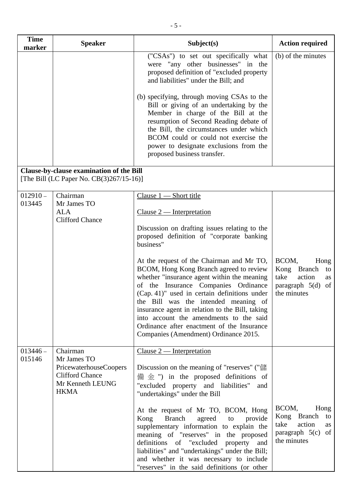| <b>Time</b><br>marker | <b>Speaker</b>                                                                       | Subject(s)                                                                                                                                                                                                                                                                                                                                                                                                                                               | <b>Action required</b>                                                                           |
|-----------------------|--------------------------------------------------------------------------------------|----------------------------------------------------------------------------------------------------------------------------------------------------------------------------------------------------------------------------------------------------------------------------------------------------------------------------------------------------------------------------------------------------------------------------------------------------------|--------------------------------------------------------------------------------------------------|
|                       |                                                                                      | ("CSAs") to set out specifically what<br>were "any other businesses" in the<br>proposed definition of "excluded property<br>and liabilities" under the Bill; and                                                                                                                                                                                                                                                                                         | (b) of the minutes                                                                               |
|                       |                                                                                      | (b) specifying, through moving CSAs to the<br>Bill or giving of an undertaking by the<br>Member in charge of the Bill at the<br>resumption of Second Reading debate of<br>the Bill, the circumstances under which<br>BCOM could or could not exercise the<br>power to designate exclusions from the<br>proposed business transfer.                                                                                                                       |                                                                                                  |
|                       | Clause-by-clause examination of the Bill<br>[The Bill (LC Paper No. CB(3)267/15-16)] |                                                                                                                                                                                                                                                                                                                                                                                                                                                          |                                                                                                  |
| $012910 -$<br>013445  | Chairman<br>Mr James TO                                                              | Clause $1$ - Short title                                                                                                                                                                                                                                                                                                                                                                                                                                 |                                                                                                  |
|                       | <b>ALA</b>                                                                           | $Clause 2$ — Interpretation                                                                                                                                                                                                                                                                                                                                                                                                                              |                                                                                                  |
|                       | <b>Clifford Chance</b>                                                               | Discussion on drafting issues relating to the<br>proposed definition of "corporate banking<br>business"                                                                                                                                                                                                                                                                                                                                                  |                                                                                                  |
|                       |                                                                                      | At the request of the Chairman and Mr TO,<br>BCOM, Hong Kong Branch agreed to review<br>whether "insurance agent within the meaning<br>of the Insurance Companies Ordinance<br>(Cap. 41)" used in certain definitions under<br>the Bill was the intended meaning of<br>insurance agent in relation to the Bill, taking<br>into account the amendments to the said<br>Ordinance after enactment of the Insurance<br>Companies (Amendment) Ordinance 2015. | BCOM,<br>Hong<br>Kong Branch<br>to<br>take<br>action<br>as<br>paragraph 5(d) of<br>the minutes   |
| $013446 -$<br>015146  | Chairman<br>Mr James TO                                                              | Clause $2$ — Interpretation                                                                                                                                                                                                                                                                                                                                                                                                                              |                                                                                                  |
|                       | PricewaterhouseCoopers<br><b>Clifford Chance</b><br>Mr Kenneth LEUNG<br><b>HKMA</b>  | Discussion on the meaning of "reserves" ("儲<br>$\# \,\hat{\oplus}\,$ ") in the proposed definitions of<br>"excluded property and liabilities"<br>and<br>"undertakings" under the Bill                                                                                                                                                                                                                                                                    |                                                                                                  |
|                       |                                                                                      | At the request of Mr TO, BCOM, Hong<br><b>Branch</b><br>agreed<br>Kong<br>to<br>provide<br>supplementary information to explain the<br>meaning of "reserves" in the proposed<br>definitions of "excluded"<br>property<br>and<br>liabilities" and "undertakings" under the Bill;<br>and whether it was necessary to include<br>"reserves" in the said definitions (or other                                                                               | BCOM,<br>Hong<br>Kong Branch<br>to<br>take<br>action<br>as<br>paragraph $5(c)$ of<br>the minutes |